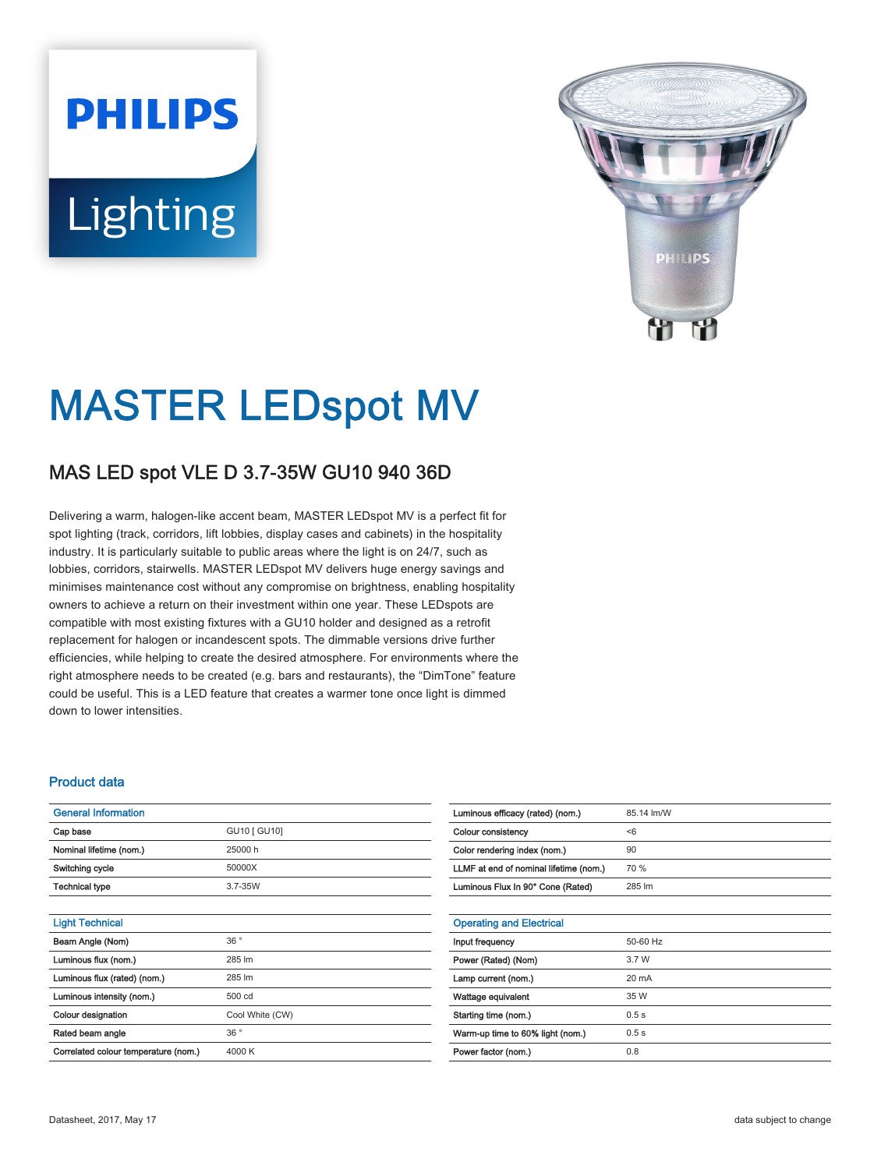# **PHILIPS** Lighting



# MASTER LEDspot MV

# MAS LED spot VLE D 3.7-35W GU10 940 36D

Delivering a warm, halogen-like accent beam, MASTER LEDspot MV is a perfect fit for spot lighting (track, corridors, lift lobbies, display cases and cabinets) in the hospitality industry. It is particularly suitable to public areas where the light is on 24/7, such as lobbies, corridors, stairwells. MASTER LEDspot MV delivers huge energy savings and minimises maintenance cost without any compromise on brightness, enabling hospitality owners to achieve a return on their investment within one year. These LEDspots are compatible with most existing fixtures with a GU10 holder and designed as a retrofit replacement for halogen or incandescent spots. The dimmable versions drive further efficiencies, while helping to create the desired atmosphere. For environments where the right atmosphere needs to be created (e.g. bars and restaurants), the "DimTone" feature could be useful. This is a LED feature that creates a warmer tone once light is dimmed down to lower intensities.

## Product data

| <b>General Information</b>           |                 |  |  |  |
|--------------------------------------|-----------------|--|--|--|
| Cap base                             | GU10 [ GU10]    |  |  |  |
| Nominal lifetime (nom.)              | 25000 h         |  |  |  |
| Switching cycle                      | 50000X          |  |  |  |
| Technical type                       | $3.7 - 35W$     |  |  |  |
|                                      |                 |  |  |  |
| <b>Light Technical</b>               |                 |  |  |  |
| Beam Angle (Nom)                     | 36°             |  |  |  |
| Luminous flux (nom.)                 | 285 lm          |  |  |  |
| Luminous flux (rated) (nom.)         | 285 lm          |  |  |  |
| Luminous intensity (nom.)            | 500 cd          |  |  |  |
| Colour designation                   | Cool White (CW) |  |  |  |
| Rated beam angle                     | 36°             |  |  |  |
| Correlated colour temperature (nom.) | 4000 K          |  |  |  |

| Luminous efficacy (rated) (nom.)       | 85.14 lm/W      |
|----------------------------------------|-----------------|
| Colour consistency                     | < 6             |
| Color rendering index (nom.)           | 90              |
| LLMF at end of nominal lifetime (nom.) | 70 %            |
| Luminous Flux In 90° Cone (Rated)      | 285 lm          |
|                                        |                 |
| <b>Operating and Electrical</b>        |                 |
| Input frequency                        | 50-60 Hz        |
| Power (Rated) (Nom)                    | 3.7 W           |
| Lamp current (nom.)                    | $20 \text{ mA}$ |
| Wattage equivalent                     | 35 W            |
| Starting time (nom.)                   | 0.5s            |
| Warm-up time to 60% light (nom.)       | 0.5s            |
| Power factor (nom.)                    | 0.8             |
|                                        |                 |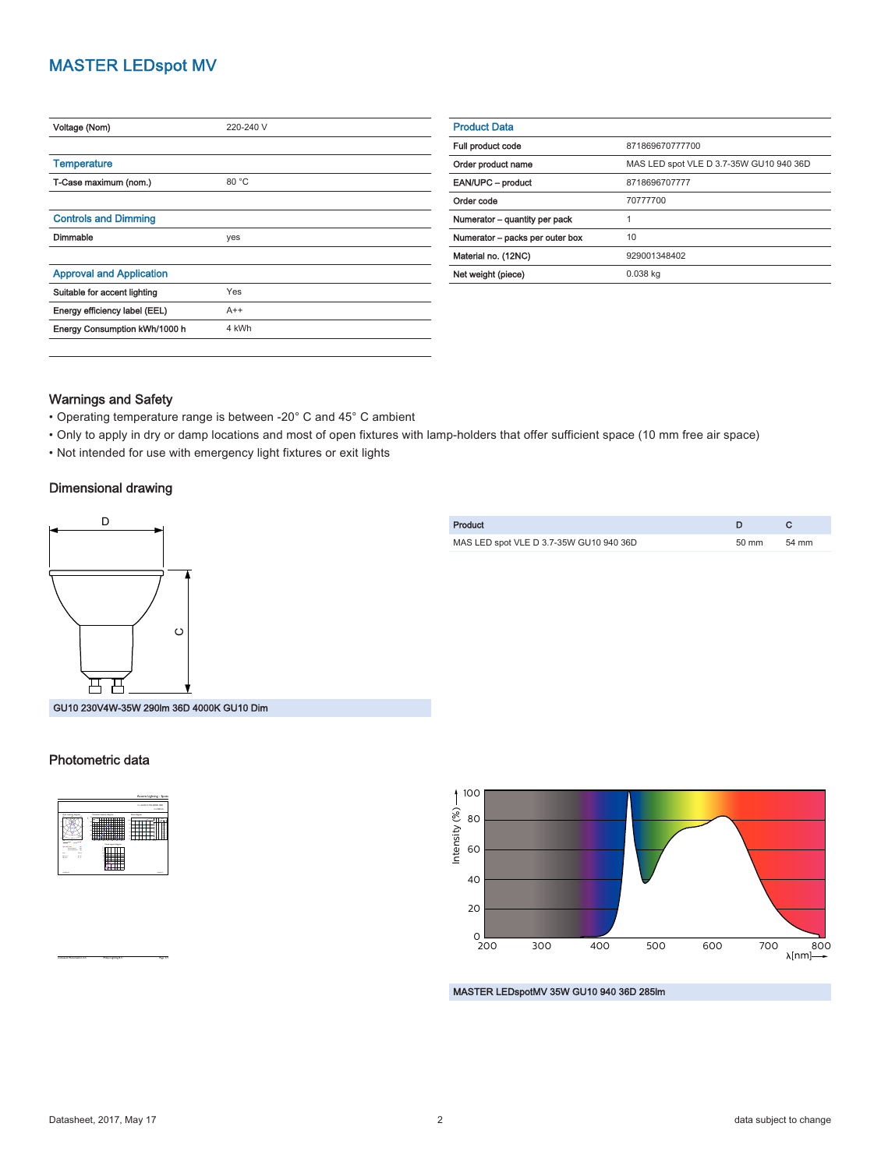# MASTER LEDspot MV

| Voltage (Nom)                   | 220-240 V |
|---------------------------------|-----------|
|                                 |           |
| <b>Temperature</b>              |           |
| T-Case maximum (nom.)           | 80 °C     |
|                                 |           |
| <b>Controls and Dimming</b>     |           |
| Dimmable                        | yes       |
|                                 |           |
| <b>Approval and Application</b> |           |
| Suitable for accent lighting    | Yes       |
| Energy efficiency label (EEL)   | $A++$     |
| Energy Consumption kWh/1000 h   | 4 kWh     |
|                                 |           |

| <b>Product Data</b>             |                                         |  |  |
|---------------------------------|-----------------------------------------|--|--|
| Full product code               | 871869670777700                         |  |  |
| Order product name              | MAS LED spot VLE D 3.7-35W GU10 940 36D |  |  |
| EAN/UPC - product               | 8718696707777                           |  |  |
| Order code                      | 70777700                                |  |  |
| Numerator - quantity per pack   |                                         |  |  |
| Numerator - packs per outer box | 10                                      |  |  |
| Material no. (12NC)             | 929001348402                            |  |  |
| Net weight (piece)              | $0.038$ kg                              |  |  |
|                                 |                                         |  |  |

## Warnings and Safety

- Operating temperature range is between -20° C and 45° C ambient
- Only to apply in dry or damp locations and most of open fixtures with lamp-holders that offer sufficient space (10 mm free air space)
- Not intended for use with emergency light fixtures or exit lights

#### Dimensional drawing



Product **D** C MAS LED spot VLE D 3.7-35W GU10 940 36D 50 mm 54 mm

GU10 230V4W-35W 290lm 36D 4000K GU10 Dim

#### Photometric data



CalcuLuX Photometrics 4.5 Philips Lighting B.V. Page: 1/1



MASTER LEDspotMV 35W GU10 940 36D 285lm